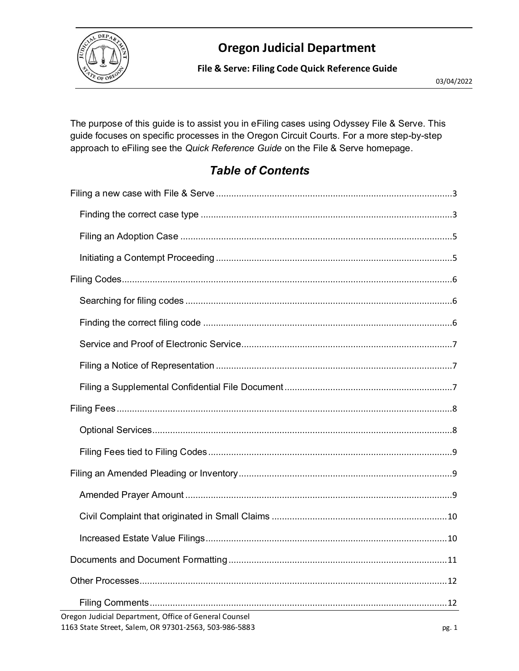

**File & Serve: Filing Code Quick Reference Guide**

The purpose of this guide is to assist you in eFiling cases using Odyssey File & Serve. This guide focuses on specific processes in the Oregon Circuit Courts. For a more step-by-step approach to eFiling see the *Quick Reference Guide* on the File & Serve homepage.

### *Table of Contents*

| 12                                                                                                                      |
|-------------------------------------------------------------------------------------------------------------------------|
|                                                                                                                         |
| Oregon Judicial Department, Office of General Counsel<br>1163 State Street, Salem, OR 97301-2563, 503-986-5883<br>pg. 1 |
|                                                                                                                         |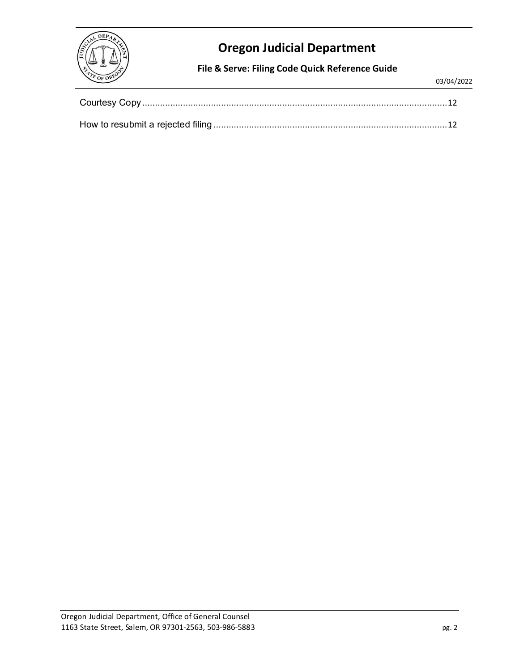

**File & Serve: Filing Code Quick Reference Guide**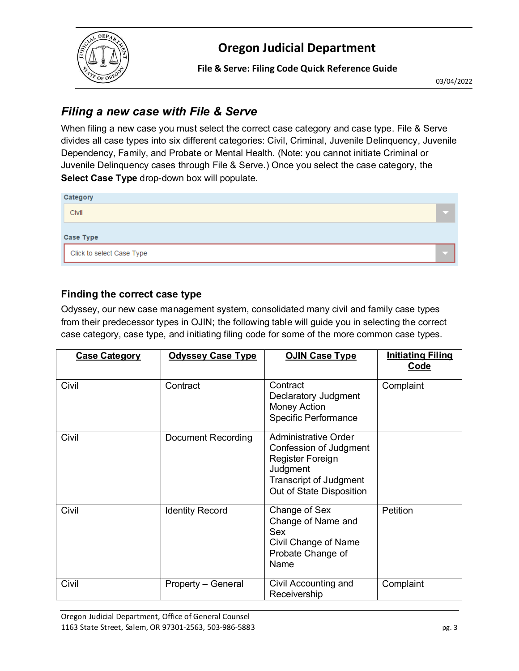

**File & Serve: Filing Code Quick Reference Guide**

03/04/2022

### <span id="page-2-0"></span>*Filing a new case with File & Serve*

When filing a new case you must select the correct case category and case type. File & Serve divides all case types into six different categories: Civil, Criminal, Juvenile Delinquency, Juvenile Dependency, Family, and Probate or Mental Health. (Note: you cannot initiate Criminal or Juvenile Delinquency cases through File & Serve.) Once you select the case category, the **Select Case Type** drop-down box will populate.

| Category                  |  |
|---------------------------|--|
| Civil                     |  |
| <b>Case Type</b>          |  |
| Click to select Case Type |  |

#### <span id="page-2-1"></span>**Finding the correct case type**

Odyssey, our new case management system, consolidated many civil and family case types from their predecessor types in OJIN; the following table will guide you in selecting the correct case category, case type, and initiating filing code for some of the more common case types.

| <b>Case Category</b> | <b>Odyssey Case Type</b> | <b>OJIN Case Type</b>                                                                                                                       | <b>Initiating Filing</b><br><b>Code</b> |
|----------------------|--------------------------|---------------------------------------------------------------------------------------------------------------------------------------------|-----------------------------------------|
| Civil                | Contract                 | Contract<br>Declaratory Judgment<br><b>Money Action</b><br>Specific Performance                                                             | Complaint                               |
| Civil                | Document Recording       | Administrative Order<br>Confession of Judgment<br>Register Foreign<br>Judgment<br><b>Transcript of Judgment</b><br>Out of State Disposition |                                         |
| Civil                | <b>Identity Record</b>   | Change of Sex<br>Change of Name and<br>Sex<br>Civil Change of Name<br>Probate Change of<br>Name                                             | Petition                                |
| Civil                | Property - General       | Civil Accounting and<br>Receivership                                                                                                        | Complaint                               |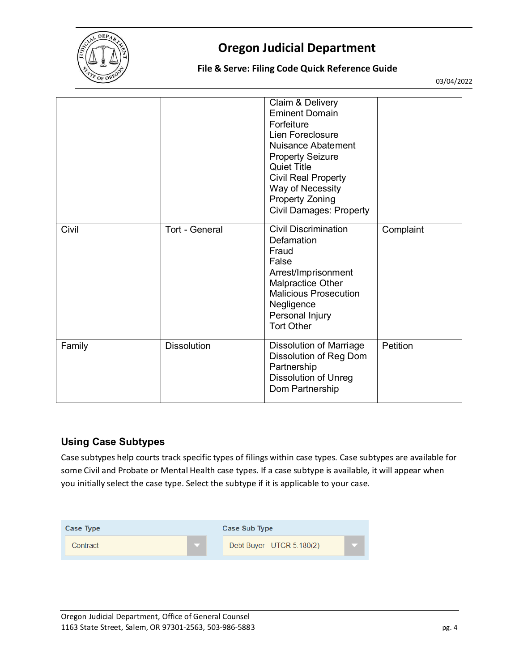

#### **File & Serve: Filing Code Quick Reference Guide**

03/04/2022

|        |                    | Claim & Delivery<br><b>Eminent Domain</b><br>Forfeiture<br>Lien Foreclosure<br>Nuisance Abatement<br><b>Property Seizure</b><br><b>Quiet Title</b><br><b>Civil Real Property</b><br>Way of Necessity<br><b>Property Zoning</b><br><b>Civil Damages: Property</b> |           |
|--------|--------------------|------------------------------------------------------------------------------------------------------------------------------------------------------------------------------------------------------------------------------------------------------------------|-----------|
| Civil  | Tort - General     | <b>Civil Discrimination</b><br>Defamation<br>Fraud<br>False<br>Arrest/Imprisonment<br><b>Malpractice Other</b><br><b>Malicious Prosecution</b><br>Negligence<br>Personal Injury<br><b>Tort Other</b>                                                             | Complaint |
| Family | <b>Dissolution</b> | <b>Dissolution of Marriage</b><br>Dissolution of Reg Dom<br>Partnership<br><b>Dissolution of Unreg</b><br>Dom Partnership                                                                                                                                        | Petition  |

#### **Using Case Subtypes**

Case subtypes help courts track specific types of filings within case types. Case subtypes are available for some Civil and Probate or Mental Health case types. If a case subtype is available, it will appear when you initially select the case type. Select the subtype if it is applicable to your case.

| Case Type | Case Sub Type              |  |
|-----------|----------------------------|--|
| Contract  | Debt Buyer - UTCR 5.180(2) |  |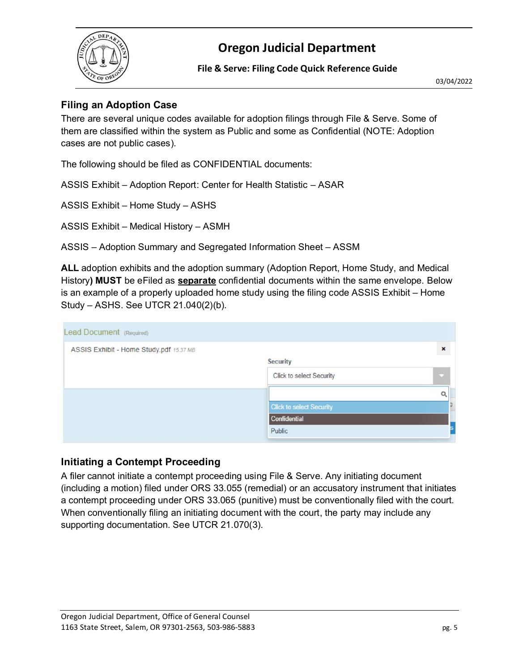

**File & Serve: Filing Code Quick Reference Guide**

03/04/2022

#### <span id="page-4-0"></span>**Filing an Adoption Case**

There are several unique codes available for adoption filings through File & Serve. Some of them are classified within the system as Public and some as Confidential (NOTE: Adoption cases are not public cases).

The following should be filed as CONFIDENTIAL documents:

ASSIS Exhibit – Adoption Report: Center for Health Statistic – ASAR

ASSIS Exhibit – Home Study – ASHS

ASSIS Exhibit – Medical History – ASMH

ASSIS – Adoption Summary and Segregated Information Sheet – ASSM

**ALL** adoption exhibits and the adoption summary (Adoption Report, Home Study, and Medical History**) MUST** be eFiled as **separate** confidential documents within the same envelope. Below is an example of a properly uploaded home study using the filing code ASSIS Exhibit – Home Study – ASHS. See UTCR 21.040(2)(b).

| Lead Document (Required)                |                                 |                           |
|-----------------------------------------|---------------------------------|---------------------------|
| ASSIS Exhibit - Home Study.pdf 15.37 MB |                                 | $\boldsymbol{\mathsf{x}}$ |
|                                         | Security                        |                           |
|                                         | Click to select Security        | o                         |
|                                         |                                 | $\alpha$                  |
|                                         | <b>Click to select Security</b> |                           |
|                                         | Confidential                    |                           |
|                                         | Public                          |                           |

#### <span id="page-4-1"></span>**Initiating a Contempt Proceeding**

A filer cannot initiate a contempt proceeding using File & Serve. Any initiating document (including a motion) filed under ORS 33.055 (remedial) or an accusatory instrument that initiates a contempt proceeding under ORS 33.065 (punitive) must be conventionally filed with the court. When conventionally filing an initiating document with the court, the party may include any supporting documentation. See UTCR 21.070(3).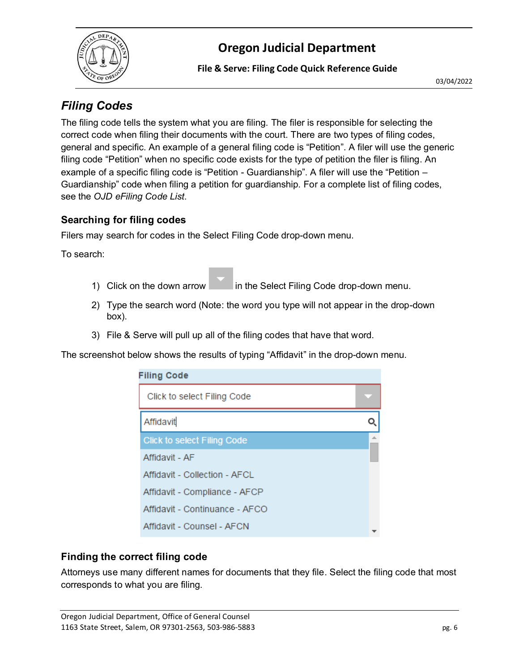

**File & Serve: Filing Code Quick Reference Guide**

### <span id="page-5-0"></span>*Filing Codes*

The filing code tells the system what you are filing. The filer is responsible for selecting the correct code when filing their documents with the court. There are two types of filing codes, general and specific. An example of a general filing code is "Petition". A filer will use the generic filing code "Petition" when no specific code exists for the type of petition the filer is filing. An example of a specific filing code is "Petition - Guardianship". A filer will use the "Petition – Guardianship" code when filing a petition for guardianship. For a complete list of filing codes, see the *OJD eFiling Code List*.

### <span id="page-5-1"></span>**Searching for filing codes**

Filers may search for codes in the Select Filing Code drop-down menu.

To search:

- 1) Click on the down arrow in the Select Filing Code drop-down menu.
- 2) Type the search word (Note: the word you type will not appear in the drop-down box).
- 3) File & Serve will pull up all of the filing codes that have that word.

The screenshot below shows the results of typing "Affidavit" in the drop-down menu.

| <b>Filing Code</b>                 |  |
|------------------------------------|--|
| Click to select Filing Code        |  |
| Affidavit                          |  |
| <b>Click to select Filing Code</b> |  |
| Affidavit - AF                     |  |
| Affidavit - Collection - AFCL      |  |
| Affidavit - Compliance - AFCP      |  |
| Affidavit - Continuance - AFCO     |  |
| Affidavit - Counsel - AFCN         |  |

### <span id="page-5-2"></span>**Finding the correct filing code**

Attorneys use many different names for documents that they file. Select the filing code that most corresponds to what you are filing.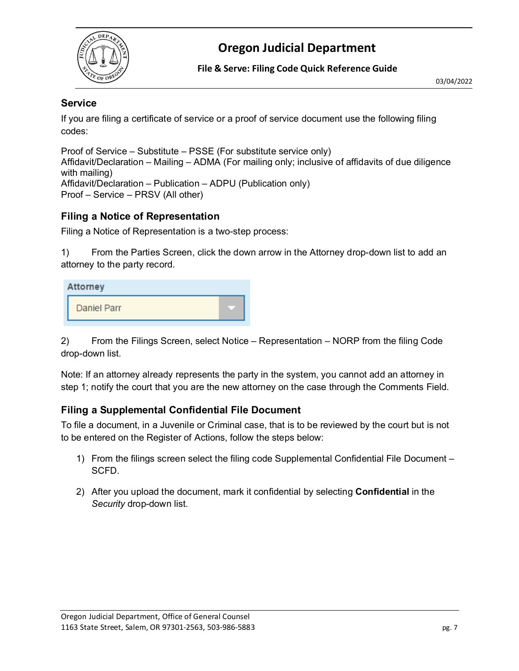

**File & Serve: Filing Code Quick Reference Guide**

#### <span id="page-6-0"></span>**Service**

If you are filing a certificate of service or a proof of service document use the following filing codes:

Proof of Service – Substitute – PSSE (For substitute service only) Affidavit/Declaration – Mailing – ADMA (For mailing only; inclusive of affidavits of due diligence with mailing) Affidavit/Declaration – Publication – ADPU (Publication only) Proof – Service – PRSV (All other)

#### <span id="page-6-1"></span>**Filing a Notice of Representation**

Filing a Notice of Representation is a two-step process:

1) From the Parties Screen, click the down arrow in the Attorney drop-down list to add an attorney to the party record.

| <b>Attorney</b>    |  |
|--------------------|--|
| <b>Daniel Parr</b> |  |

2) From the Filings Screen, select Notice – Representation – NORP from the filing Code drop-down list.

Note: If an attorney already represents the party in the system, you cannot add an attorney in step 1; notify the court that you are the new attorney on the case through the Comments Field.

### <span id="page-6-2"></span>**Filing a Supplemental Confidential File Document**

To file a document, in a Juvenile or Criminal case, that is to be reviewed by the court but is not to be entered on the Register of Actions, follow the steps below:

- 1) From the filings screen select the filing code Supplemental Confidential File Document SCFD.
- 2) After you upload the document, mark it confidential by selecting **Confidential** in the *Security* drop-down list.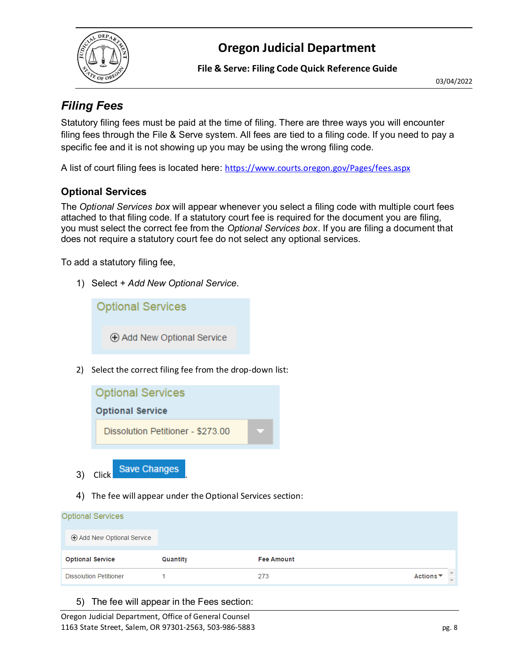

**File & Serve: Filing Code Quick Reference Guide**

03/04/2022

### <span id="page-7-0"></span>*Filing Fees*

Statutory filing fees must be paid at the time of filing. There are three ways you will encounter filing fees through the File & Serve system. All fees are tied to a filing code. If you need to pay a specific fee and it is not showing up you may be using the wrong filing code.

A list of court filing fees is located here: <https://www.courts.oregon.gov/Pages/fees.aspx>

### <span id="page-7-1"></span>**Optional Services**

The *Optional Services box* will appear whenever you select a filing code with multiple court fees attached to that filing code. If a statutory court fee is required for the document you are filing, you must select the correct fee from the *Optional Services box*. If you are filing a document that does not require a statutory court fee do not select any optional services.

To add a statutory filing fee,

1) Select *+ Add New Optional Service*.

**Optional Services** ⊕ Add New Optional Service

2) Select the correct filing fee from the drop-down list:



4) The fee will appear under the Optional Services section:

| <b>Optional Services</b>      |          |                   |           |               |
|-------------------------------|----------|-------------------|-----------|---------------|
| Add New Optional Service      |          |                   |           |               |
| <b>Optional Service</b>       | Quantity | <b>Fee Amount</b> |           |               |
| <b>Dissolution Petitioner</b> |          | 273               | Actions ▼ | $\rightarrow$ |

5) The fee will appear in the Fees section:

Oregon Judicial Department, Office of General Counsel 1163 State Street, Salem, OR 97301-2563, 503-986-5883 pg. 8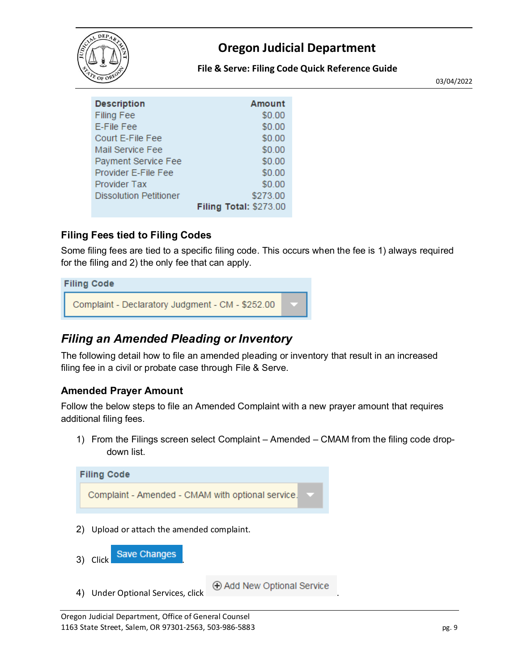

#### **File & Serve: Filing Code Quick Reference Guide**

03/04/2022

| <b>Description</b>     | Amount                        |
|------------------------|-------------------------------|
| <b>Filing Fee</b>      | \$0.00                        |
| E-File Fee             | \$0.00                        |
| Court E-File Fee       | \$0.00                        |
| Mail Service Fee       | \$0.00                        |
| Payment Service Fee    | \$0.00                        |
| Provider E-File Fee    | \$0.00                        |
| Provider Tax           | \$0.00                        |
| Dissolution Petitioner | \$273.00                      |
|                        | <b>Filing Total: \$273.00</b> |

#### <span id="page-8-0"></span>**Filing Fees tied to Filing Codes**

Some filing fees are tied to a specific filing code. This occurs when the fee is 1) always required for the filing and 2) the only fee that can apply.

# **Filing Code** Complaint - Declaratory Judgment - CM - \$252.00

### <span id="page-8-1"></span>*Filing an Amended Pleading or Inventory*

The following detail how to file an amended pleading or inventory that result in an increased filing fee in a civil or probate case through File & Serve.

### <span id="page-8-2"></span>**Amended Prayer Amount**

Follow the below steps to file an Amended Complaint with a new prayer amount that requires additional filing fees.

1) From the Filings screen select Complaint – Amended – CMAM from the filing code dropdown list.

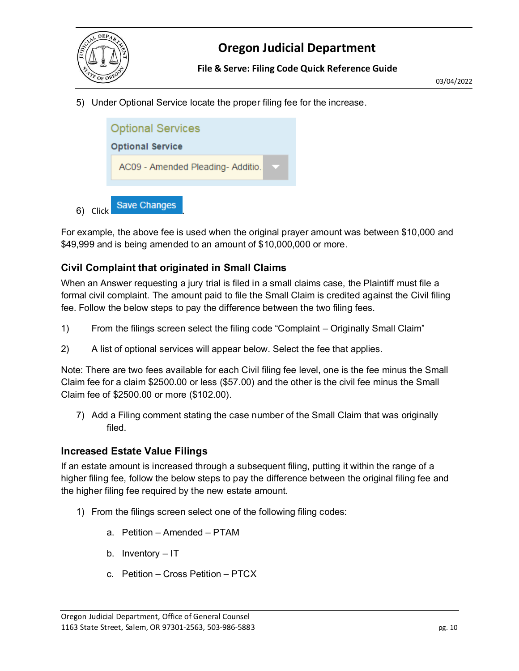

5) Under Optional Service locate the proper filing fee for the increase.



6) Click Save Changes

For example, the above fee is used when the original prayer amount was between \$10,000 and \$49,999 and is being amended to an amount of \$10,000,000 or more.

#### <span id="page-9-0"></span>**Civil Complaint that originated in Small Claims**

When an Answer requesting a jury trial is filed in a small claims case, the Plaintiff must file a formal civil complaint. The amount paid to file the Small Claim is credited against the Civil filing fee. Follow the below steps to pay the difference between the two filing fees.

- 1) From the filings screen select the filing code "Complaint Originally Small Claim"
- 2) A list of optional services will appear below. Select the fee that applies.

Note: There are two fees available for each Civil filing fee level, one is the fee minus the Small Claim fee for a claim \$2500.00 or less (\$57.00) and the other is the civil fee minus the Small Claim fee of \$2500.00 or more (\$102.00).

7) Add a Filing comment stating the case number of the Small Claim that was originally filed.

#### <span id="page-9-1"></span>**Increased Estate Value Filings**

If an estate amount is increased through a subsequent filing, putting it within the range of a higher filing fee, follow the below steps to pay the difference between the original filing fee and the higher filing fee required by the new estate amount.

- 1) From the filings screen select one of the following filing codes:
	- a. Petition Amended PTAM
	- b. Inventory IT
	- c. Petition Cross Petition PTCX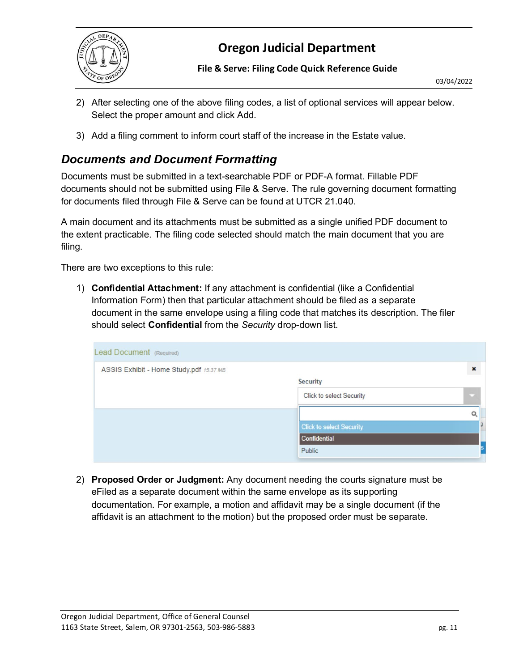

**File & Serve: Filing Code Quick Reference Guide**

- 2) After selecting one of the above filing codes, a list of optional services will appear below. Select the proper amount and click Add.
- 3) Add a filing comment to inform court staff of the increase in the Estate value.

### <span id="page-10-0"></span>*Documents and Document Formatting*

Documents must be submitted in a text-searchable PDF or PDF-A format. Fillable PDF documents should not be submitted using File & Serve. The rule governing document formatting for documents filed through File & Serve can be found at UTCR 21.040.

A main document and its attachments must be submitted as a single unified PDF document to the extent practicable. The filing code selected should match the main document that you are filing.

There are two exceptions to this rule:

1) **Confidential Attachment:** If any attachment is confidential (like a Confidential Information Form) then that particular attachment should be filed as a separate document in the same envelope using a filing code that matches its description. The filer should select **Confidential** from the *Security* drop-down list.

| Lead Document (Required)                |                                 |                |
|-----------------------------------------|---------------------------------|----------------|
| ASSIS Exhibit - Home Study.pdf 15.37 MB |                                 | $\pmb{\times}$ |
|                                         | <b>Security</b>                 |                |
|                                         | Click to select Security        | o              |
|                                         |                                 | O              |
|                                         | <b>Click to select Security</b> |                |
|                                         | Confidential                    |                |
|                                         | Public                          |                |

2) **Proposed Order or Judgment:** Any document needing the courts signature must be eFiled as a separate document within the same envelope as its supporting documentation. For example, a motion and affidavit may be a single document (if the affidavit is an attachment to the motion) but the proposed order must be separate.